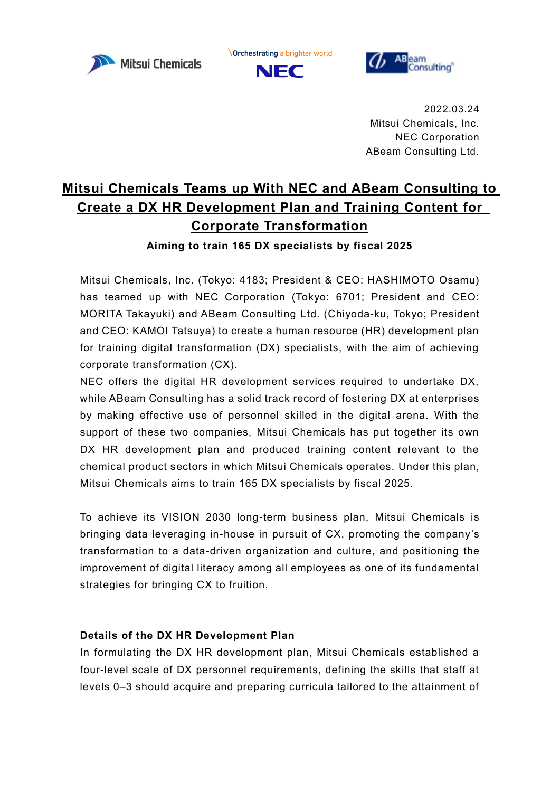

**Orchestrating a brighter world** 





2022.03.24 Mitsui Chemicals, Inc. NEC Corporation ABeam Consulting Ltd.

# **Mitsui Chemicals Teams up With NEC and ABeam Consulting to Create a DX HR Development Plan and Training Content for Corporate Transformation**

**Aiming to train 165 DX specialists by fiscal 2025**

Mitsui Chemicals, Inc. (Tokyo: 4183; President & CEO: HASHIMOTO Osamu) has teamed up with NEC Corporation (Tokyo: 6701; President and CEO: MORITA Takayuki) and ABeam Consulting Ltd. (Chiyoda-ku, Tokyo; President and CEO: KAMOI Tatsuya) to create a human resource (HR) development plan for training digital transformation (DX) specialists, with the aim of achieving corporate transformation (CX).

NEC offers the digital HR development services required to undertake DX, while ABeam Consulting has a solid track record of fostering DX at enterprises by making effective use of personnel skilled in the digital arena. With the support of these two companies, Mitsui Chemicals has put together its own DX HR development plan and produced training content relevant to the chemical product sectors in which Mitsui Chemicals operates. Under this plan, Mitsui Chemicals aims to train 165 DX specialists by fiscal 2025.

To achieve its VISION 2030 long-term business plan, Mitsui Chemicals is bringing data leveraging in-house in pursuit of CX, promoting the company's transformation to a data-driven organization and culture, and positioning the improvement of digital literacy among all employees as one of its fundamental strategies for bringing CX to fruition.

### **Details of the DX HR Development Plan**

In formulating the DX HR development plan, Mitsui Chemicals established a four-level scale of DX personnel requirements, defining the skills that staff at levels 0–3 should acquire and preparing curricula tailored to the attainment of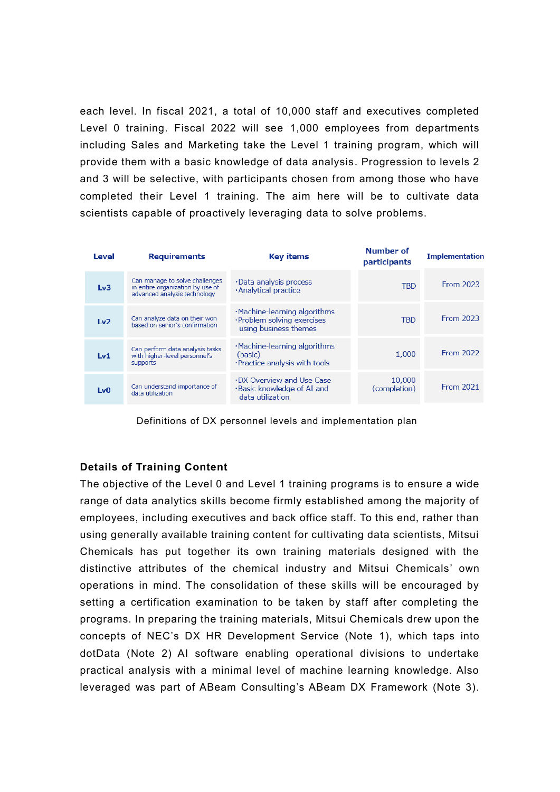each level. In fiscal 2021, a total of 10,000 staff and executives completed Level 0 training. Fiscal 2022 will see 1,000 employees from departments including Sales and Marketing take the Level 1 training program, which will provide them with a basic knowledge of data analysis. Progression to levels 2 and 3 will be selective, with participants chosen from among those who have completed their Level 1 training. The aim here will be to cultivate data scientists capable of proactively leveraging data to solve problems.



Definitions of DX personnel levels and implementation plan

### **Details of Training Content**

The objective of the Level 0 and Level 1 training programs is to ensure a wide range of data analytics skills become firmly established among the majority of employees, including executives and back office staff. To this end, rather than using generally available training content for cultivating data scientists, Mitsui Chemicals has put together its own training materials designed with the distinctive attributes of the chemical industry and Mitsui Chemicals' own operations in mind. The consolidation of these skills will be encouraged by setting a certification examination to be taken by staff after completing the programs. In preparing the training materials, Mitsui Chemicals drew upon the concepts of NEC's DX HR Development Service (Note 1), which taps into dotData (Note 2) AI software enabling operational divisions to undertake practical analysis with a minimal level of machine learning knowledge. Also leveraged was part of ABeam Consulting's ABeam DX Framework (Note 3).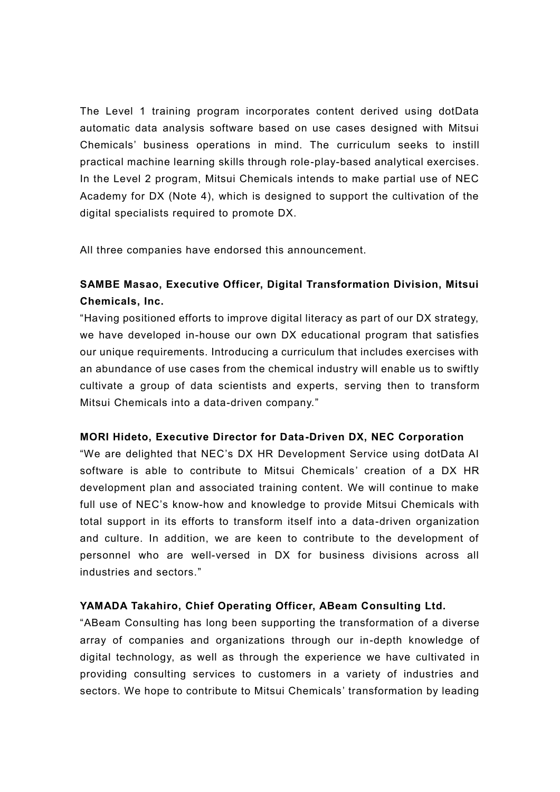The Level 1 training program incorporates content derived using dotData automatic data analysis software based on use cases designed with Mitsui Chemicals' business operations in mind. The curriculum seeks to instill practical machine learning skills through role-play-based analytical exercises. In the Level 2 program, Mitsui Chemicals intends to make partial use of NEC Academy for DX (Note 4), which is designed to support the cultivation of the digital specialists required to promote DX.

All three companies have endorsed this announcement.

# **SAMBE Masao, Executive Officer, Digital Transformation Division, Mitsui Chemicals, Inc.**

"Having positioned efforts to improve digital literacy as part of our DX strategy, we have developed in-house our own DX educational program that satisfies our unique requirements. Introducing a curriculum that includes exercises with an abundance of use cases from the chemical industry will enable us to swiftly cultivate a group of data scientists and experts, serving then to transform Mitsui Chemicals into a data-driven company."

### **MORI Hideto, Executive Director for Data-Driven DX, NEC Corporation**

"We are delighted that NEC's DX HR Development Service using dotData AI software is able to contribute to Mitsui Chemicals' creation of a DX HR development plan and associated training content. We will continue to make full use of NEC's know-how and knowledge to provide Mitsui Chemicals with total support in its efforts to transform itself into a data-driven organization and culture. In addition, we are keen to contribute to the development of personnel who are well-versed in DX for business divisions across all industries and sectors."

## **YAMADA Takahiro, Chief Operating Officer, ABeam Consulting Ltd.**

"ABeam Consulting has long been supporting the transformation of a diverse array of companies and organizations through our in-depth knowledge of digital technology, as well as through the experience we have cultivated in providing consulting services to customers in a variety of industries and sectors. We hope to contribute to Mitsui Chemicals' transformation by leading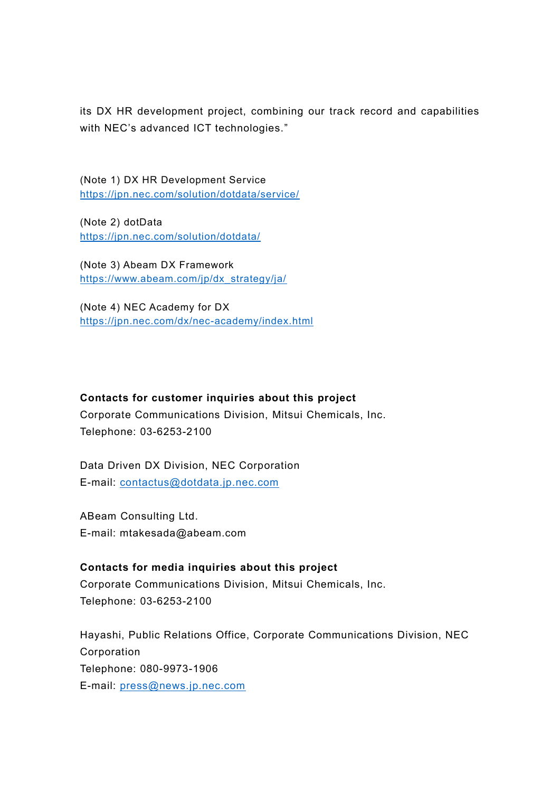its DX HR development project, combining our track record and capabilities with NEC's advanced ICT technologies."

(Note 1) DX HR Development Service <https://jpn.nec.com/solution/dotdata/service/>

(Note 2) dotData <https://jpn.nec.com/solution/dotdata/>

(Note 3) Abeam DX Framework [https://www.abeam.com/jp/dx\\_strategy/ja/](https://www.abeam.com/jp/dx_strategy/ja/)

(Note 4) NEC Academy for DX <https://jpn.nec.com/dx/nec-academy/index.html>

### **Contacts for customer inquiries about this project**

Corporate Communications Division, Mitsui Chemicals, Inc. Telephone: 03-6253-2100

Data Driven DX Division, NEC Corporation E-mail: [contactus@dotdata.jp.nec.com](mailto:contactus@dotdata.jp.nec.com)

ABeam Consulting Ltd. E-mail: mtakesada@abeam.com

**Contacts for media inquiries about this project** Corporate Communications Division, Mitsui Chemicals, Inc. Telephone: 03-6253-2100

Hayashi, Public Relations Office, Corporate Communications Division, NEC Corporation Telephone: 080-9973-1906 E-mail: [press@news.jp.nec.com](mailto:press@news.jp.nec.com)